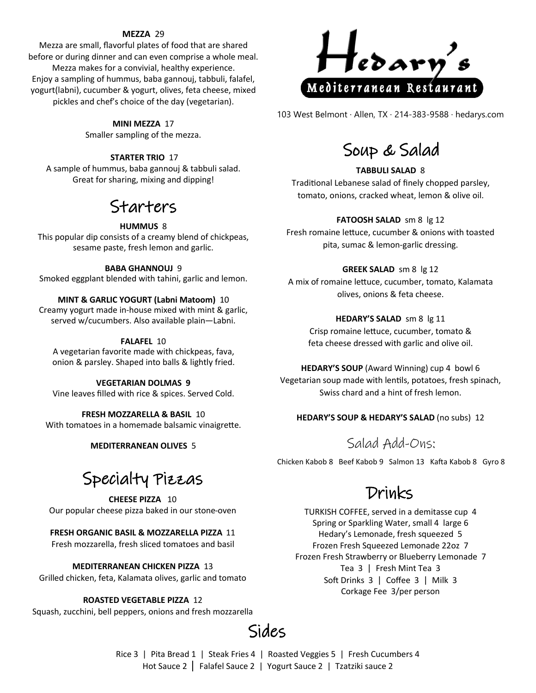### **MEZZA** 29

Mezza are small, flavorful plates of food that are shared before or during dinner and can even comprise a whole meal. Mezza makes for a convivial, healthy experience. Enjoy a sampling of hummus, baba gannouj, tabbuli, falafel, yogurt(labni), cucumber & yogurt, olives, feta cheese, mixed pickles and chef's choice of the day (vegetarian).

### **MINI MEZZA** 17

Smaller sampling of the mezza.

### **STARTER TRIO** 17

A sample of hummus, baba gannouj & tabbuli salad. Great for sharing, mixing and dipping!

## Starters

### **HUMMUS** 8

This popular dip consists of a creamy blend of chickpeas, sesame paste, fresh lemon and garlic.

#### **BABA GHANNOUJ** 9

Smoked eggplant blended with tahini, garlic and lemon.

### **MINT & GARLIC YOGURT (Labni Matoom)** 10

Creamy yogurt made in-house mixed with mint & garlic, served w/cucumbers. Also available plain—Labni.

### **FALAFEL** 10

A vegetarian favorite made with chickpeas, fava, onion & parsley. Shaped into balls & lightly fried.

### **VEGETARIAN DOLMAS 9**

Vine leaves filled with rice & spices. Served Cold.

### **FRESH MOZZARELLA & BASIL** 10

With tomatoes in a homemade balsamic vinaigrette.

### **MEDITERRANEAN OLIVES** 5

# Specialty Pizzas

**CHEESE PIZZA** 10 Our popular cheese pizza baked in our stone-oven

### **FRESH ORGANIC BASIL & MOZZARELLA PIZZA** 11

Fresh mozzarella, fresh sliced tomatoes and basil

### **MEDITERRANEAN CHICKEN PIZZA** 13

Grilled chicken, feta, Kalamata olives, garlic and tomato

### **ROASTED VEGETABLE PIZZA** 12

Squash, zucchini, bell peppers, onions and fresh mozzarella



103 West Belmont · Allen, TX · 214-383-9588 · hedarys.com

## Soup & Salad

### **TABBULI SALAD** 8

Traditional Lebanese salad of finely chopped parsley, tomato, onions, cracked wheat, lemon & olive oil.

#### **FATOOSH SALAD** sm 8 lg 12

Fresh romaine lettuce, cucumber & onions with toasted pita, sumac & lemon-garlic dressing.

### **GREEK SALAD** sm 8 lg 12

A mix of romaine lettuce, cucumber, tomato, Kalamata olives, onions & feta cheese.

### **HEDARY'S SALAD** sm 8 lg 11

Crisp romaine lettuce, cucumber, tomato & feta cheese dressed with garlic and olive oil.

**HEDARY'S SOUP** (Award Winning) cup 4 bowl 6 Vegetarian soup made with lentils, potatoes, fresh spinach, Swiss chard and a hint of fresh lemon.

### **HEDARY'S SOUP & HEDARY'S SALAD** (no subs) 12

### Salad Add-Ons:

Chicken Kabob 8 Beef Kabob 9 Salmon 13 Kafta Kabob 8 Gyro 8

## Drinks

TURKISH COFFEE, served in a demitasse cup 4 Spring or Sparkling Water, small 4 large 6 Hedary's Lemonade, fresh squeezed 5 Frozen Fresh Squeezed Lemonade 22oz 7 Frozen Fresh Strawberry or Blueberry Lemonade 7 Tea 3 | Fresh Mint Tea 3 Soft Drinks 3 | Coffee 3 | Milk 3 Corkage Fee 3/per person



### Rice 3 | Pita Bread 1 | Steak Fries 4 | Roasted Veggies 5 | Fresh Cucumbers 4 Hot Sauce 2 | Falafel Sauce 2 | Yogurt Sauce 2 | Tzatziki sauce 2